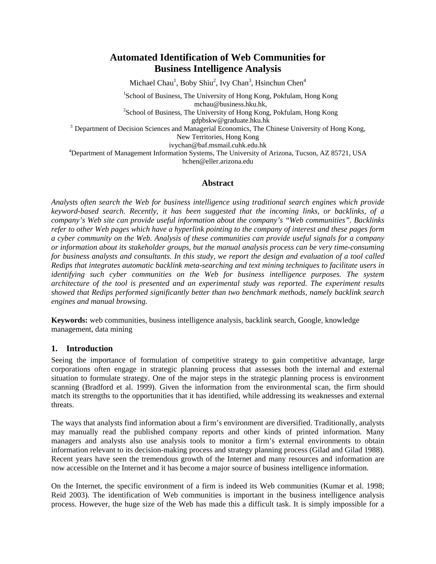# **Automated Identification of Web Communities for Business Intelligence Analysis**

Michael Chau<sup>1</sup>, Boby Shiu<sup>2</sup>, Ivy Chan<sup>3</sup>, Hsinchun Chen<sup>4</sup>

<sup>1</sup>School of Business, The University of Hong Kong, Pokfulam, Hong Kong mchau@business.hku.hk,<br><sup>2</sup>School of Business, The University of Hong Kong, Pokfulam, Hong Kong

gdpbskw@graduate.hku.hk<br><sup>3</sup> Department of Decision Sciences and Managerial Economics, The Chinese University of Hong Kong,

New Territories, Hong Kong

ivychan@baf.msmail.cuhk.edu.hk<br><sup>4</sup>Department of Management Information Systems, The University of Arizona, Tucson, AZ 85721, USA hchen@eller.arizona.edu

### **Abstract**

*Analysts often search the Web for business intelligence using traditional search engines which provide keyword-based search. Recently, it has been suggested that the incoming links, or backlinks, of a company's Web site can provide useful information about the company's "Web communities". Backlinks refer to other Web pages which have a hyperlink pointing to the company of interest and these pages form a cyber community on the Web. Analysis of these communities can provide useful signals for a company or information about its stakeholder groups, but the manual analysis process can be very time-consuming for business analysts and consultants. In this study, we report the design and evaluation of a tool called Redips that integrates automatic backlink meta-searching and text mining techniques to facilitate users in identifying such cyber communities on the Web for business intelligence purposes. The system architecture of the tool is presented and an experimental study was reported. The experiment results showed that Redips performed significantly better than two benchmark methods, namely backlink search engines and manual browsing.* 

**Keywords:** web communities, business intelligence analysis, backlink search, Google, knowledge management, data mining

### **1. Introduction**

Seeing the importance of formulation of competitive strategy to gain competitive advantage, large corporations often engage in strategic planning process that assesses both the internal and external situation to formulate strategy. One of the major steps in the strategic planning process is environment scanning (Bradford et al. 1999). Given the information from the environmental scan, the firm should match its strengths to the opportunities that it has identified, while addressing its weaknesses and external threats.

The ways that analysts find information about a firm's environment are diversified. Traditionally, analysts may manually read the published company reports and other kinds of printed information. Many managers and analysts also use analysis tools to monitor a firm's external environments to obtain information relevant to its decision-making process and strategy planning process (Gilad and Gilad 1988). Recent years have seen the tremendous growth of the Internet and many resources and information are now accessible on the Internet and it has become a major source of business intelligence information.

On the Internet, the specific environment of a firm is indeed its Web communities (Kumar et al. 1998; Reid 2003). The identification of Web communities is important in the business intelligence analysis process. However, the huge size of the Web has made this a difficult task. It is simply impossible for a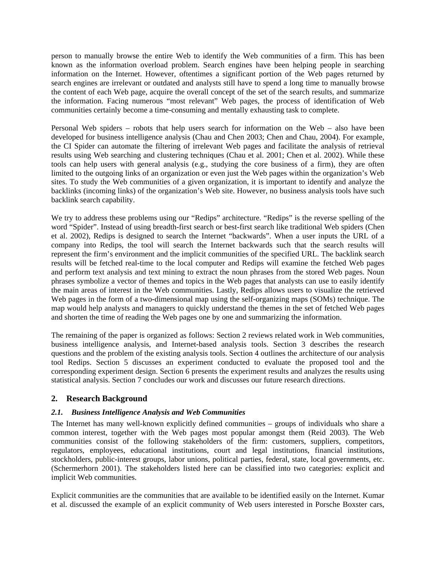person to manually browse the entire Web to identify the Web communities of a firm. This has been known as the information overload problem. Search engines have been helping people in searching information on the Internet. However, oftentimes a significant portion of the Web pages returned by search engines are irrelevant or outdated and analysts still have to spend a long time to manually browse the content of each Web page, acquire the overall concept of the set of the search results, and summarize the information. Facing numerous "most relevant" Web pages, the process of identification of Web communities certainly become a time-consuming and mentally exhausting task to complete.

Personal Web spiders – robots that help users search for information on the Web – also have been developed for business intelligence analysis (Chau and Chen 2003; Chen and Chau, 2004). For example, the CI Spider can automate the filtering of irrelevant Web pages and facilitate the analysis of retrieval results using Web searching and clustering techniques (Chau et al. 2001; Chen et al. 2002). While these tools can help users with general analysis (e.g., studying the core business of a firm), they are often limited to the outgoing links of an organization or even just the Web pages within the organization's Web sites. To study the Web communities of a given organization, it is important to identify and analyze the backlinks (incoming links) of the organization's Web site. However, no business analysis tools have such backlink search capability.

We try to address these problems using our "Redips" architecture. "Redips" is the reverse spelling of the word "Spider". Instead of using breadth-first search or best-first search like traditional Web spiders (Chen et al. 2002), Redips is designed to search the Internet "backwards". When a user inputs the URL of a company into Redips, the tool will search the Internet backwards such that the search results will represent the firm's environment and the implicit communities of the specified URL. The backlink search results will be fetched real-time to the local computer and Redips will examine the fetched Web pages and perform text analysis and text mining to extract the noun phrases from the stored Web pages. Noun phrases symbolize a vector of themes and topics in the Web pages that analysts can use to easily identify the main areas of interest in the Web communities. Lastly, Redips allows users to visualize the retrieved Web pages in the form of a two-dimensional map using the self-organizing maps (SOMs) technique. The map would help analysts and managers to quickly understand the themes in the set of fetched Web pages and shorten the time of reading the Web pages one by one and summarizing the information.

The remaining of the paper is organized as follows: Section 2 reviews related work in Web communities, business intelligence analysis, and Internet-based analysis tools. Section 3 describes the research questions and the problem of the existing analysis tools. Section 4 outlines the architecture of our analysis tool Redips. Section 5 discusses an experiment conducted to evaluate the proposed tool and the corresponding experiment design. Section 6 presents the experiment results and analyzes the results using statistical analysis. Section 7 concludes our work and discusses our future research directions.

### **2. Research Background**

### *2.1. Business Intelligence Analysis and Web Communities*

The Internet has many well-known explicitly defined communities – groups of individuals who share a common interest, together with the Web pages most popular amongst them (Reid 2003). The Web communities consist of the following stakeholders of the firm: customers, suppliers, competitors, regulators, employees, educational institutions, court and legal institutions, financial institutions, stockholders, public-interest groups, labor unions, political parties, federal, state, local governments, etc. (Schermerhorn 2001). The stakeholders listed here can be classified into two categories: explicit and implicit Web communities.

Explicit communities are the communities that are available to be identified easily on the Internet. Kumar et al. discussed the example of an explicit community of Web users interested in Porsche Boxster cars,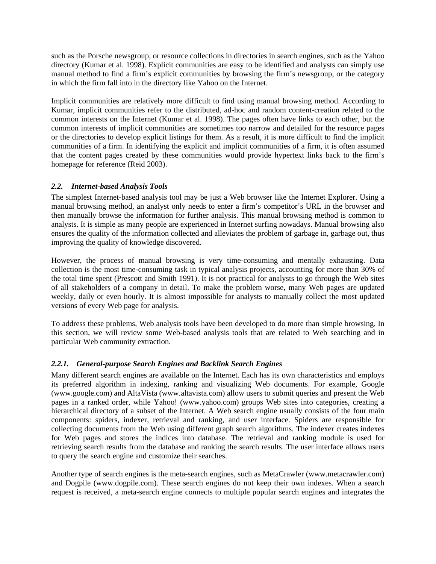such as the Porsche newsgroup, or resource collections in directories in search engines, such as the Yahoo directory (Kumar et al. 1998). Explicit communities are easy to be identified and analysts can simply use manual method to find a firm's explicit communities by browsing the firm's newsgroup, or the category in which the firm fall into in the directory like Yahoo on the Internet.

Implicit communities are relatively more difficult to find using manual browsing method. According to Kumar, implicit communities refer to the distributed, ad-hoc and random content-creation related to the common interests on the Internet (Kumar et al. 1998). The pages often have links to each other, but the common interests of implicit communities are sometimes too narrow and detailed for the resource pages or the directories to develop explicit listings for them. As a result, it is more difficult to find the implicit communities of a firm. In identifying the explicit and implicit communities of a firm, it is often assumed that the content pages created by these communities would provide hypertext links back to the firm's homepage for reference (Reid 2003).

#### *2.2. Internet-based Analysis Tools*

The simplest Internet-based analysis tool may be just a Web browser like the Internet Explorer. Using a manual browsing method, an analyst only needs to enter a firm's competitor's URL in the browser and then manually browse the information for further analysis. This manual browsing method is common to analysts. It is simple as many people are experienced in Internet surfing nowadays. Manual browsing also ensures the quality of the information collected and alleviates the problem of garbage in, garbage out, thus improving the quality of knowledge discovered.

However, the process of manual browsing is very time-consuming and mentally exhausting. Data collection is the most time-consuming task in typical analysis projects, accounting for more than 30% of the total time spent (Prescott and Smith 1991). It is not practical for analysts to go through the Web sites of all stakeholders of a company in detail. To make the problem worse, many Web pages are updated weekly, daily or even hourly. It is almost impossible for analysts to manually collect the most updated versions of every Web page for analysis.

To address these problems, Web analysis tools have been developed to do more than simple browsing. In this section, we will review some Web-based analysis tools that are related to Web searching and in particular Web community extraction.

#### *2.2.1. General-purpose Search Engines and Backlink Search Engines*

Many different search engines are available on the Internet. Each has its own characteristics and employs its preferred algorithm in indexing, ranking and visualizing Web documents. For example, Google (www.google.com) and AltaVista (www.altavista.com) allow users to submit queries and present the Web pages in a ranked order, while Yahoo! (www.yahoo.com) groups Web sites into categories, creating a hierarchical directory of a subset of the Internet. A Web search engine usually consists of the four main components: spiders, indexer, retrieval and ranking, and user interface. Spiders are responsible for collecting documents from the Web using different graph search algorithms. The indexer creates indexes for Web pages and stores the indices into database. The retrieval and ranking module is used for retrieving search results from the database and ranking the search results. The user interface allows users to query the search engine and customize their searches.

Another type of search engines is the meta-search engines, such as MetaCrawler (www.metacrawler.com) and Dogpile (www.dogpile.com). These search engines do not keep their own indexes. When a search request is received, a meta-search engine connects to multiple popular search engines and integrates the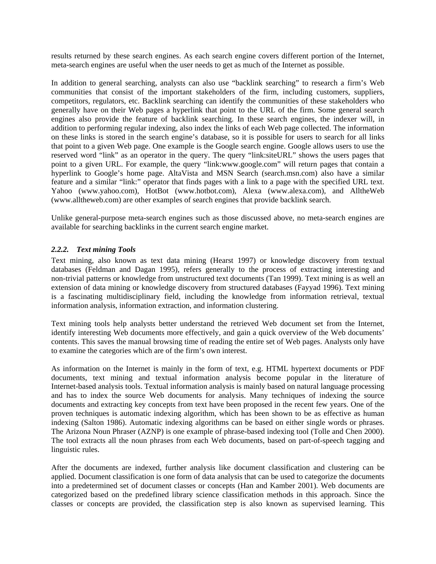results returned by these search engines. As each search engine covers different portion of the Internet, meta-search engines are useful when the user needs to get as much of the Internet as possible.

In addition to general searching, analysts can also use "backlink searching" to research a firm's Web communities that consist of the important stakeholders of the firm, including customers, suppliers, competitors, regulators, etc. Backlink searching can identify the communities of these stakeholders who generally have on their Web pages a hyperlink that point to the URL of the firm. Some general search engines also provide the feature of backlink searching. In these search engines, the indexer will, in addition to performing regular indexing, also index the links of each Web page collected. The information on these links is stored in the search engine's database, so it is possible for users to search for all links that point to a given Web page. One example is the Google search engine. Google allows users to use the reserved word "link" as an operator in the query. The query "link:siteURL" shows the users pages that point to a given URL. For example, the query "link:www.google.com" will return pages that contain a hyperlink to Google's home page. AltaVista and MSN Search (search.msn.com) also have a similar feature and a similar "link:" operator that finds pages with a link to a page with the specified URL text. Yahoo (www.yahoo.com), HotBot (www.hotbot.com), Alexa (www.alexa.com), and AlltheWeb (www.alltheweb.com) are other examples of search engines that provide backlink search.

Unlike general-purpose meta-search engines such as those discussed above, no meta-search engines are available for searching backlinks in the current search engine market.

#### *2.2.2. Text mining Tools*

Text mining, also known as text data mining (Hearst 1997) or knowledge discovery from textual databases (Feldman and Dagan 1995), refers generally to the process of extracting interesting and non-trivial patterns or knowledge from unstructured text documents (Tan 1999). Text mining is as well an extension of data mining or knowledge discovery from structured databases (Fayyad 1996). Text mining is a fascinating multidisciplinary field, including the knowledge from information retrieval, textual information analysis, information extraction, and information clustering.

Text mining tools help analysts better understand the retrieved Web document set from the Internet, identify interesting Web documents more effectively, and gain a quick overview of the Web documents' contents. This saves the manual browsing time of reading the entire set of Web pages. Analysts only have to examine the categories which are of the firm's own interest.

As information on the Internet is mainly in the form of text, e.g. HTML hypertext documents or PDF documents, text mining and textual information analysis become popular in the literature of Internet-based analysis tools. Textual information analysis is mainly based on natural language processing and has to index the source Web documents for analysis. Many techniques of indexing the source documents and extracting key concepts from text have been proposed in the recent few years. One of the proven techniques is automatic indexing algorithm, which has been shown to be as effective as human indexing (Salton 1986). Automatic indexing algorithms can be based on either single words or phrases. The Arizona Noun Phraser (AZNP) is one example of phrase-based indexing tool (Tolle and Chen 2000). The tool extracts all the noun phrases from each Web documents, based on part-of-speech tagging and linguistic rules.

After the documents are indexed, further analysis like document classification and clustering can be applied. Document classification is one form of data analysis that can be used to categorize the documents into a predetermined set of document classes or concepts (Han and Kamber 2001). Web documents are categorized based on the predefined library science classification methods in this approach. Since the classes or concepts are provided, the classification step is also known as supervised learning. This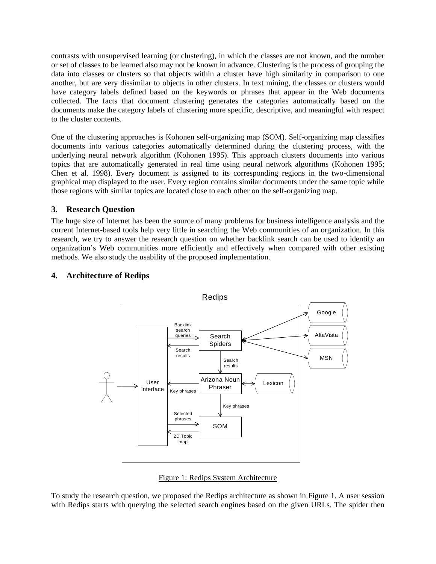contrasts with unsupervised learning (or clustering), in which the classes are not known, and the number or set of classes to be learned also may not be known in advance. Clustering is the process of grouping the data into classes or clusters so that objects within a cluster have high similarity in comparison to one another, but are very dissimilar to objects in other clusters. In text mining, the classes or clusters would have category labels defined based on the keywords or phrases that appear in the Web documents collected. The facts that document clustering generates the categories automatically based on the documents make the category labels of clustering more specific, descriptive, and meaningful with respect to the cluster contents.

One of the clustering approaches is Kohonen self-organizing map (SOM). Self-organizing map classifies documents into various categories automatically determined during the clustering process, with the underlying neural network algorithm (Kohonen 1995). This approach clusters documents into various topics that are automatically generated in real time using neural network algorithms (Kohonen 1995; Chen et al. 1998). Every document is assigned to its corresponding regions in the two-dimensional graphical map displayed to the user. Every region contains similar documents under the same topic while those regions with similar topics are located close to each other on the self-organizing map.

### **3. Research Question**

The huge size of Internet has been the source of many problems for business intelligence analysis and the current Internet-based tools help very little in searching the Web communities of an organization. In this research, we try to answer the research question on whether backlink search can be used to identify an organization's Web communities more efficiently and effectively when compared with other existing methods. We also study the usability of the proposed implementation.



## **4. Architecture of Redips**

Figure 1: Redips System Architecture

To study the research question, we proposed the Redips architecture as shown in Figure 1. A user session with Redips starts with querying the selected search engines based on the given URLs. The spider then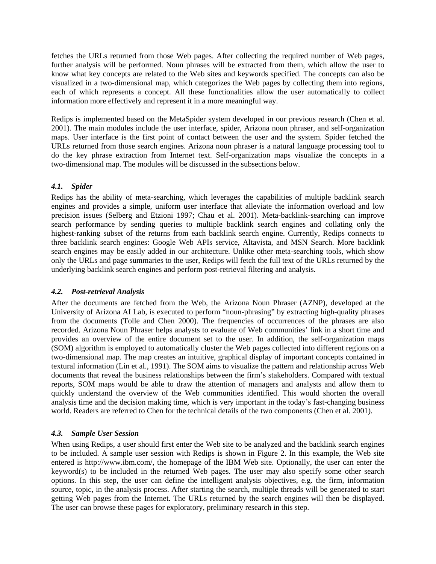fetches the URLs returned from those Web pages. After collecting the required number of Web pages, further analysis will be performed. Noun phrases will be extracted from them, which allow the user to know what key concepts are related to the Web sites and keywords specified. The concepts can also be visualized in a two-dimensional map, which categorizes the Web pages by collecting them into regions, each of which represents a concept. All these functionalities allow the user automatically to collect information more effectively and represent it in a more meaningful way.

Redips is implemented based on the MetaSpider system developed in our previous research (Chen et al. 2001). The main modules include the user interface, spider, Arizona noun phraser, and self-organization maps. User interface is the first point of contact between the user and the system. Spider fetched the URLs returned from those search engines. Arizona noun phraser is a natural language processing tool to do the key phrase extraction from Internet text. Self-organization maps visualize the concepts in a two-dimensional map. The modules will be discussed in the subsections below.

#### *4.1. Spider*

Redips has the ability of meta-searching, which leverages the capabilities of multiple backlink search engines and provides a simple, uniform user interface that alleviate the information overload and low precision issues (Selberg and Etzioni 1997; Chau et al. 2001). Meta-backlink-searching can improve search performance by sending queries to multiple backlink search engines and collating only the highest-ranking subset of the returns from each backlink search engine. Currently, Redips connects to three backlink search engines: Google Web APIs service, Altavista, and MSN Search. More backlink search engines may be easily added in our architecture. Unlike other meta-searching tools, which show only the URLs and page summaries to the user, Redips will fetch the full text of the URLs returned by the underlying backlink search engines and perform post-retrieval filtering and analysis.

### *4.2. Post-retrieval Analysis*

After the documents are fetched from the Web, the Arizona Noun Phraser (AZNP), developed at the University of Arizona AI Lab, is executed to perform "noun-phrasing" by extracting high-quality phrases from the documents (Tolle and Chen 2000). The frequencies of occurrences of the phrases are also recorded. Arizona Noun Phraser helps analysts to evaluate of Web communities' link in a short time and provides an overview of the entire document set to the user. In addition, the self-organization maps (SOM) algorithm is employed to automatically cluster the Web pages collected into different regions on a two-dimensional map. The map creates an intuitive, graphical display of important concepts contained in textural information (Lin et al., 1991). The SOM aims to visualize the pattern and relationship across Web documents that reveal the business relationships between the firm's stakeholders. Compared with textual reports, SOM maps would be able to draw the attention of managers and analysts and allow them to quickly understand the overview of the Web communities identified. This would shorten the overall analysis time and the decision making time, which is very important in the today's fast-changing business world. Readers are referred to Chen for the technical details of the two components (Chen et al. 2001).

### *4.3. Sample User Session*

When using Redips, a user should first enter the Web site to be analyzed and the backlink search engines to be included. A sample user session with Redips is shown in Figure 2. In this example, the Web site entered is http://www.ibm.com/, the homepage of the IBM Web site. Optionally, the user can enter the keyword(s) to be included in the returned Web pages. The user may also specify some other search options. In this step, the user can define the intelligent analysis objectives, e.g. the firm, information source, topic, in the analysis process. After starting the search, multiple threads will be generated to start getting Web pages from the Internet. The URLs returned by the search engines will then be displayed. The user can browse these pages for exploratory, preliminary research in this step.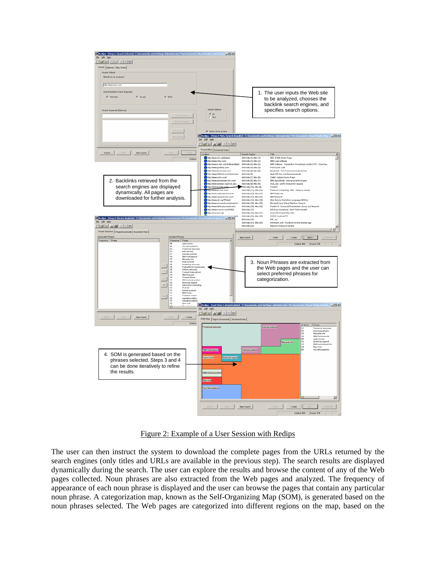



The user can then instruct the system to download the complete pages from the URLs returned by the search engines (only titles and URLs are available in the previous step). The search results are displayed dynamically during the search. The user can explore the results and browse the content of any of the Web pages collected. Noun phrases are also extracted from the Web pages and analyzed. The frequency of appearance of each noun phrase is displayed and the user can browse the pages that contain any particular noun phrase. A categorization map, known as the Self-Organizing Map (SOM), is generated based on the noun phrases selected. The Web pages are categorized into different regions on the map, based on the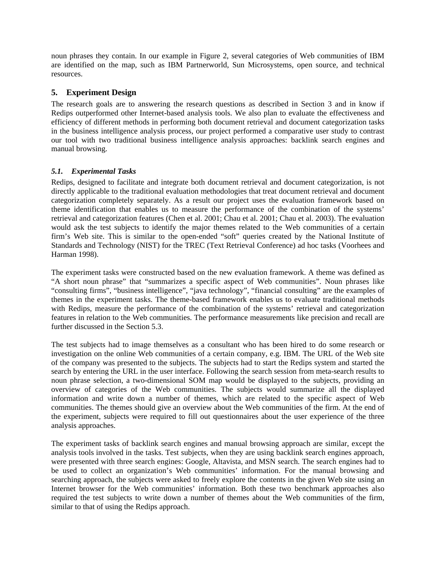noun phrases they contain. In our example in Figure 2, several categories of Web communities of IBM are identified on the map, such as IBM Partnerworld, Sun Microsystems, open source, and technical resources.

### **5. Experiment Design**

The research goals are to answering the research questions as described in Section 3 and in know if Redips outperformed other Internet-based analysis tools. We also plan to evaluate the effectiveness and efficiency of different methods in performing both document retrieval and document categorization tasks in the business intelligence analysis process, our project performed a comparative user study to contrast our tool with two traditional business intelligence analysis approaches: backlink search engines and manual browsing.

#### *5.1. Experimental Tasks*

Redips, designed to facilitate and integrate both document retrieval and document categorization, is not directly applicable to the traditional evaluation methodologies that treat document retrieval and document categorization completely separately. As a result our project uses the evaluation framework based on theme identification that enables us to measure the performance of the combination of the systems' retrieval and categorization features (Chen et al. 2001; Chau et al. 2001; Chau et al. 2003). The evaluation would ask the test subjects to identify the major themes related to the Web communities of a certain firm's Web site. This is similar to the open-ended "soft" queries created by the National Institute of Standards and Technology (NIST) for the TREC (Text Retrieval Conference) ad hoc tasks (Voorhees and Harman 1998).

The experiment tasks were constructed based on the new evaluation framework. A theme was defined as "A short noun phrase" that "summarizes a specific aspect of Web communities". Noun phrases like "consulting firms", "business intelligence", "java technology", "financial consulting" are the examples of themes in the experiment tasks. The theme-based framework enables us to evaluate traditional methods with Redips, measure the performance of the combination of the systems' retrieval and categorization features in relation to the Web communities. The performance measurements like precision and recall are further discussed in the Section 5.3.

The test subjects had to image themselves as a consultant who has been hired to do some research or investigation on the online Web communities of a certain company, e.g. IBM. The URL of the Web site of the company was presented to the subjects. The subjects had to start the Redips system and started the search by entering the URL in the user interface. Following the search session from meta-search results to noun phrase selection, a two-dimensional SOM map would be displayed to the subjects, providing an overview of categories of the Web communities. The subjects would summarize all the displayed information and write down a number of themes, which are related to the specific aspect of Web communities. The themes should give an overview about the Web communities of the firm. At the end of the experiment, subjects were required to fill out questionnaires about the user experience of the three analysis approaches.

The experiment tasks of backlink search engines and manual browsing approach are similar, except the analysis tools involved in the tasks. Test subjects, when they are using backlink search engines approach, were presented with three search engines: Google, Altavista, and MSN search. The search engines had to be used to collect an organization's Web communities' information. For the manual browsing and searching approach, the subjects were asked to freely explore the contents in the given Web site using an Internet browser for the Web communities' information. Both these two benchmark approaches also required the test subjects to write down a number of themes about the Web communities of the firm, similar to that of using the Redips approach.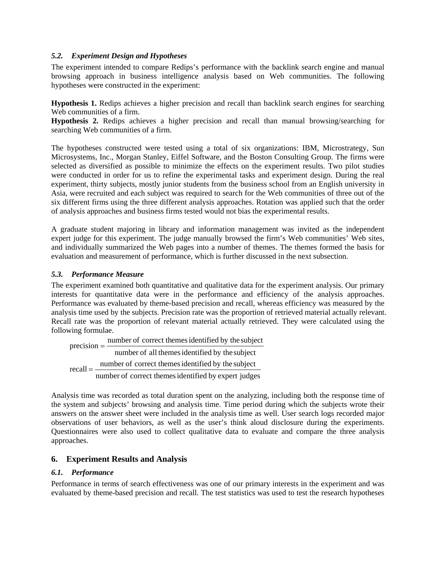#### *5.2. Experiment Design and Hypotheses*

The experiment intended to compare Redips's performance with the backlink search engine and manual browsing approach in business intelligence analysis based on Web communities. The following hypotheses were constructed in the experiment:

**Hypothesis 1.** Redips achieves a higher precision and recall than backlink search engines for searching Web communities of a firm.

**Hypothesis 2.** Redips achieves a higher precision and recall than manual browsing/searching for searching Web communities of a firm.

The hypotheses constructed were tested using a total of six organizations: IBM, Microstrategy, Sun Microsystems, Inc., Morgan Stanley, Eiffel Software, and the Boston Consulting Group. The firms were selected as diversified as possible to minimize the effects on the experiment results. Two pilot studies were conducted in order for us to refine the experimental tasks and experiment design. During the real experiment, thirty subjects, mostly junior students from the business school from an English university in Asia, were recruited and each subject was required to search for the Web communities of three out of the six different firms using the three different analysis approaches. Rotation was applied such that the order of analysis approaches and business firms tested would not bias the experimental results.

A graduate student majoring in library and information management was invited as the independent expert judge for this experiment. The judge manually browsed the firm's Web communities' Web sites, and individually summarized the Web pages into a number of themes. The themes formed the basis for evaluation and measurement of performance, which is further discussed in the next subsection.

### *5.3. Performance Measure*

The experiment examined both quantitative and qualitative data for the experiment analysis. Our primary interests for quantitative data were in the performance and efficiency of the analysis approaches. Performance was evaluated by theme-based precision and recall, whereas efficiency was measured by the analysis time used by the subjects. Precision rate was the proportion of retrieved material actually relevant. Recall rate was the proportion of relevant material actually retrieved. They were calculated using the following formulae.

$$
precision = \frac{number\ of\ correct\ themes\ identified\ by\ the\ subject\ number\ of\ all\ themes\ identified\ by\ the\ subject\ recall = \frac{number\ of\ correct\ themes\ identified\ by\ the\ subject\ number\ of\ correct\ themes\ identified\ by\ expert\ judges}
$$

Analysis time was recorded as total duration spent on the analyzing, including both the response time of the system and subjects' browsing and analysis time. Time period during which the subjects wrote their answers on the answer sheet were included in the analysis time as well. User search logs recorded major observations of user behaviors, as well as the user's think aloud disclosure during the experiments. Questionnaires were also used to collect qualitative data to evaluate and compare the three analysis approaches.

### **6. Experiment Results and Analysis**

#### *6.1. Performance*

Performance in terms of search effectiveness was one of our primary interests in the experiment and was evaluated by theme-based precision and recall. The test statistics was used to test the research hypotheses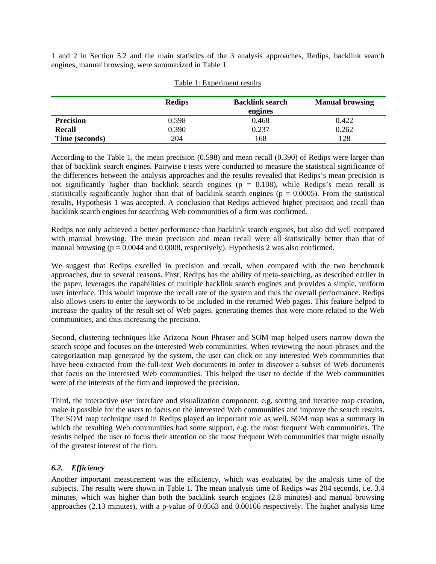1 and 2 in Section 5.2 and the main statistics of the 3 analysis approaches, Redips, backlink search engines, manual browsing, were summarized in Table 1.

|                  | <b>Redips</b> | <b>Backlink search</b><br>engines | <b>Manual browsing</b> |
|------------------|---------------|-----------------------------------|------------------------|
| <b>Precision</b> | 0.598         | 0.468                             | 0.422                  |
| Recall           | 0.390         | 0.237                             | 0.262                  |
| Time (seconds)   | 204           | 168                               | 128                    |

#### Table 1: Experiment results

According to the Table 1, the mean precision (0.598) and mean recall (0.390) of Redips were larger than that of backlink search engines. Pairwise t-tests were conducted to measure the statistical significance of the differences between the analysis approaches and the results revealed that Redips's mean precision is not significantly higher than backlink search engines ( $p = 0.108$ ), while Redips's mean recall is statistically significantly higher than that of backlink search engines ( $p = 0.0005$ ). From the statistical results, Hypothesis 1 was accepted. A conclusion that Redips achieved higher precision and recall than backlink search engines for searching Web communities of a firm was confirmed.

Redips not only achieved a better performance than backlink search engines, but also did well compared with manual browsing. The mean precision and mean recall were all statistically better than that of manual browsing ( $p = 0.0044$  and 0.0008, respectively). Hypothesis 2 was also confirmed.

We suggest that Redips excelled in precision and recall, when compared with the two benchmark approaches, due to several reasons. First, Redips has the ability of meta-searching, as described earlier in the paper, leverages the capabilities of multiple backlink search engines and provides a simple, uniform user interface. This would improve the recall rate of the system and thus the overall performance. Redips also allows users to enter the keywords to be included in the returned Web pages. This feature helped to increase the quality of the result set of Web pages, generating themes that were more related to the Web communities, and thus increasing the precision.

Second, clustering techniques like Arizona Noun Phraser and SOM map helped users narrow down the search scope and focuses on the interested Web communities. When reviewing the noun phrases and the categorization map generated by the system, the user can click on any interested Web communities that have been extracted from the full-text Web documents in order to discover a subset of Web documents that focus on the interested Web communities. This helped the user to decide if the Web communities were of the interests of the firm and improved the precision.

Third, the interactive user interface and visualization component, e.g. sorting and iterative map creation, make it possible for the users to focus on the interested Web communities and improve the search results. The SOM map technique used in Redips played an important role as well. SOM map was a summary in which the resulting Web communities had some support, e.g. the most frequent Web communities. The results helped the user to focus their attention on the most frequent Web communities that might usually of the greatest interest of the firm.

### *6.2. Efficiency*

Another important measurement was the efficiency, which was evaluated by the analysis time of the subjects. The results were shown in Table 1. The mean analysis time of Redips was 204 seconds, i.e. 3.4 minutes, which was higher than both the backlink search engines (2.8 minutes) and manual browsing approaches (2.13 minutes), with a p-value of 0.0563 and 0.00166 respectively. The higher analysis time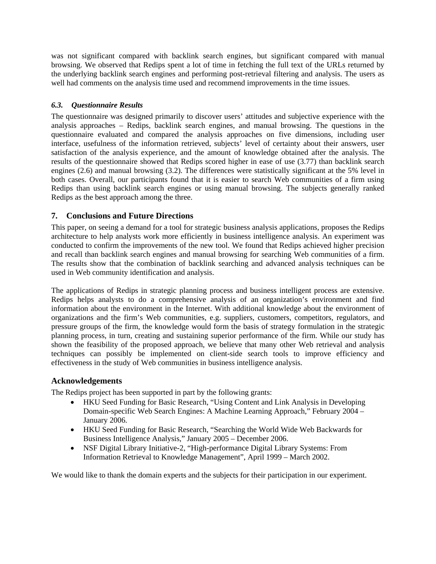was not significant compared with backlink search engines, but significant compared with manual browsing. We observed that Redips spent a lot of time in fetching the full text of the URLs returned by the underlying backlink search engines and performing post-retrieval filtering and analysis. The users as well had comments on the analysis time used and recommend improvements in the time issues.

### *6.3. Questionnaire Results*

The questionnaire was designed primarily to discover users' attitudes and subjective experience with the analysis approaches – Redips, backlink search engines, and manual browsing. The questions in the questionnaire evaluated and compared the analysis approaches on five dimensions, including user interface, usefulness of the information retrieved, subjects' level of certainty about their answers, user satisfaction of the analysis experience, and the amount of knowledge obtained after the analysis. The results of the questionnaire showed that Redips scored higher in ease of use (3.77) than backlink search engines (2.6) and manual browsing (3.2). The differences were statistically significant at the 5% level in both cases. Overall, our participants found that it is easier to search Web communities of a firm using Redips than using backlink search engines or using manual browsing. The subjects generally ranked Redips as the best approach among the three.

### **7. Conclusions and Future Directions**

This paper, on seeing a demand for a tool for strategic business analysis applications, proposes the Redips architecture to help analysts work more efficiently in business intelligence analysis. An experiment was conducted to confirm the improvements of the new tool. We found that Redips achieved higher precision and recall than backlink search engines and manual browsing for searching Web communities of a firm. The results show that the combination of backlink searching and advanced analysis techniques can be used in Web community identification and analysis.

The applications of Redips in strategic planning process and business intelligent process are extensive. Redips helps analysts to do a comprehensive analysis of an organization's environment and find information about the environment in the Internet. With additional knowledge about the environment of organizations and the firm's Web communities, e.g. suppliers, customers, competitors, regulators, and pressure groups of the firm, the knowledge would form the basis of strategy formulation in the strategic planning process, in turn, creating and sustaining superior performance of the firm. While our study has shown the feasibility of the proposed approach, we believe that many other Web retrieval and analysis techniques can possibly be implemented on client-side search tools to improve efficiency and effectiveness in the study of Web communities in business intelligence analysis.

#### **Acknowledgements**

The Redips project has been supported in part by the following grants:

- HKU Seed Funding for Basic Research, "Using Content and Link Analysis in Developing Domain-specific Web Search Engines: A Machine Learning Approach," February 2004 – January 2006.
- HKU Seed Funding for Basic Research, "Searching the World Wide Web Backwards for Business Intelligence Analysis," January 2005 – December 2006.
- NSF Digital Library Initiative-2, "High-performance Digital Library Systems: From Information Retrieval to Knowledge Management", April 1999 – March 2002.

We would like to thank the domain experts and the subjects for their participation in our experiment.